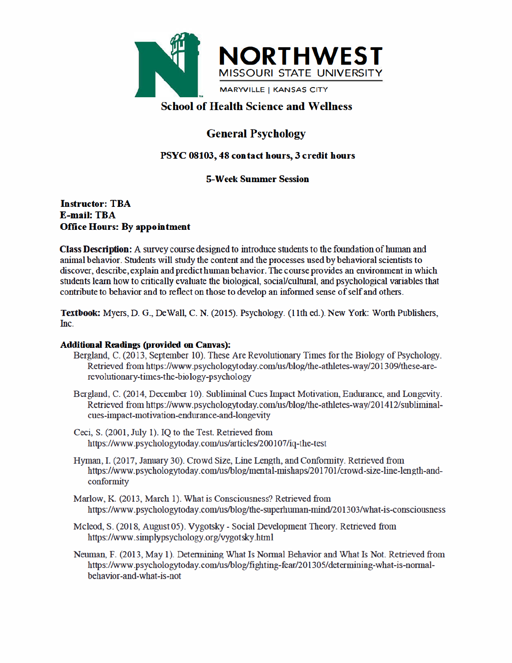

# **School of Health Science and Wellness**

# **General Psychology**

# PSYC 08103, 48 contact hours, 3 credit hours

## **5-Week Summer Session**

### **Instructor: TBA E-mail: TBA Office Hours: By appointment**

**Class Description:** A survey course designed to introduce students to the foundation of human and animal behavior. Students will study the content and the processes used by behavioral scientists to discover, describe, explain and predict human behavior. The course provides an environment in which students learn how to critically evaluate the biological, social/cultural, and psychological variables that contribute to behavior and to reflect on those to develop an informed sense of self and others.

Textbook: Myers, D. G., DeWall, C. N. (2015). Psychology. (11th ed.). New York: Worth Publishers, Inc.

### **Additional Readings (provided on Canvas):**

- Bergland, C. (2013, September 10). These Are Revolutionary Times for the Biology of Psychology. Retrieved from https://www.psychologytoday.com/us/blog/the-athletes-way/201309/these-arerevolutionary-times-the-biology-psychology
- Bergland, C. (2014, December 10). Subliminal Cues Impact Motivation, Endurance, and Longevity. Retrieved from https://www.psychologytoday.com/us/blog/the-athletes-way/201412/subliminalcues-impact-motivation-endurance-and-longevity
- Ceci, S. (2001, July 1). IQ to the Test. Retrieved from https://www.psychologytoday.com/us/articles/200107/iq-the-test
- Hyman, I. (2017, January 30). Crowd Size, Line Length, and Conformity. Retrieved from https://www.psychologytoday.com/us/blog/mental-mishaps/201701/crowd-size-line-length-andconformity
- Marlow, K. (2013, March 1). What is Consciousness? Retrieved from https://www.psychologytoday.com/us/blog/the-superhuman-mind/201303/what-is-consciousness
- Mcleod, S. (2018, August 05). Vygotsky Social Development Theory. Retrieved from https://www.simplypsychology.org/vygotsky.html
- Neuman, F. (2013, May 1). Determining What Is Normal Behavior and What Is Not. Retrieved from https://www.psychologytoday.com/us/blog/fighting-fear/201305/determining-what-is-normalbehavior-and-what-is-not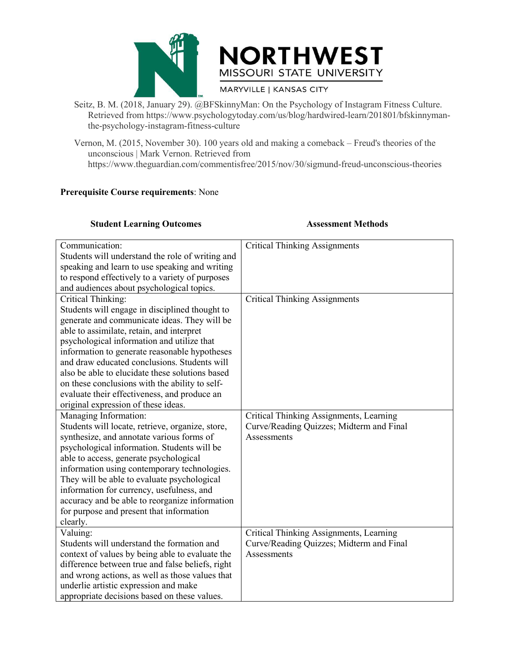



- Seitz, B. M. (2018, January 29). @BFSkinnyMan: On the Psychology of Instagram Fitness Culture.<br>
Retrieved from https://www.psychologytoday.com/us/blog/hardwired-learn/201801/bfskinnyman-<br>
the-psychology-instagram-fitness-c REST<br>
RESOURI STATE UNIVERSITY<br>
RETRIEVERSITY<br>
RETRIEVERSITY<br>
RETRIEVERSITY<br>
RETRIEVERSITY<br>
RETRIEVERSITY<br>
RETRIEVERSITY<br>
RETRIEVERSITY<br>
RETRIEVERSITY<br>
RETRIEVERSITY<br>
RETRIEVERSITY<br>
RETRIEVERSITY<br>
RETRIEVERSITY<br>
RETRIEVERS the-psychology-instagram-fitness-culture
- VEST MORTHWESTY<br>
MISSOURI STATE UNIVERSITY<br>
Seitz, B. M. (2018, January 29). @BFSkinnyMan: On the Psychology of Instagram Fitness Culture.<br>
Retrieved from https://www.psychologytoday.com/us/blog/hardwired-learn/201801/bfsk MISSOURI STATE UNIVERSITY<br>
ELECTE MISSOURI STATE UNIVERSITY<br>
ELECTE UNIVERSITY<br>
Retrieved from https://www.psychologytoday.com/us/blog/hardwired-learn/2018<br>
the-psychology-instagram-fitness-culture<br>
non, M. (2015, November https://www.theguardian.com/commentisfree/2015/nov/30/sigmund-freud-unconscious-theories MISSOURI STATE UNIV<br>
MISSOURI STATE UNIV<br>
MARYVILLE | KANSAS CITY<br>
Seitz, B. M. (2018, January 29). @BFSkinnyMan: On the Psychology of<br>
Retrieved from https://www.psychologytoday.com/us/blog/hardwired<br>
the-psychology-insta

|                                                                                                                                                                                                                                                                                                                                                                                                                                                                                                                                       | MARYVILLE   KANSAS CITY                                                                                   |  |  |  |  |
|---------------------------------------------------------------------------------------------------------------------------------------------------------------------------------------------------------------------------------------------------------------------------------------------------------------------------------------------------------------------------------------------------------------------------------------------------------------------------------------------------------------------------------------|-----------------------------------------------------------------------------------------------------------|--|--|--|--|
| Seitz, B. M. (2018, January 29). @BFSkinnyMan: On the Psychology of Instagram Fitness Culture.<br>Retrieved from https://www.psychologytoday.com/us/blog/hardwired-learn/201801/bfskinnyman-<br>the-psychology-instagram-fitness-culture                                                                                                                                                                                                                                                                                              |                                                                                                           |  |  |  |  |
| Vernon, M. (2015, November 30). 100 years old and making a comeback – Freud's theories of the<br>unconscious   Mark Vernon. Retrieved from<br>https://www.theguardian.com/commentisfree/2015/nov/30/sigmund-freud-unconscious-theories                                                                                                                                                                                                                                                                                                |                                                                                                           |  |  |  |  |
| <b>Prerequisite Course requirements: None</b>                                                                                                                                                                                                                                                                                                                                                                                                                                                                                         |                                                                                                           |  |  |  |  |
| <b>Student Learning Outcomes</b>                                                                                                                                                                                                                                                                                                                                                                                                                                                                                                      | <b>Assessment Methods</b>                                                                                 |  |  |  |  |
| Communication:<br>Students will understand the role of writing and<br>speaking and learn to use speaking and writing<br>to respond effectively to a variety of purposes<br>and audiences about psychological topics.                                                                                                                                                                                                                                                                                                                  | <b>Critical Thinking Assignments</b>                                                                      |  |  |  |  |
| Critical Thinking:<br>Students will engage in disciplined thought to<br>generate and communicate ideas. They will be<br>able to assimilate, retain, and interpret<br>psychological information and utilize that<br>information to generate reasonable hypotheses<br>and draw educated conclusions. Students will<br>also be able to elucidate these solutions based<br>on these conclusions with the ability to self-<br>evaluate their effectiveness, and produce an<br>original expression of these ideas.<br>Managing Information: | <b>Critical Thinking Assignments</b><br>Critical Thinking Assignments, Learning                           |  |  |  |  |
| Students will locate, retrieve, organize, store,<br>synthesize, and annotate various forms of<br>psychological information. Students will be<br>able to access, generate psychological<br>information using contemporary technologies.<br>They will be able to evaluate psychological<br>information for currency, usefulness, and<br>accuracy and be able to reorganize information<br>for purpose and present that information<br>clearly.                                                                                          | Curve/Reading Quizzes; Midterm and Final<br>Assessments                                                   |  |  |  |  |
| Valuing:<br>Students will understand the formation and<br>context of values by being able to evaluate the<br>difference between true and false beliefs, right<br>and wrong actions, as well as those values that<br>underlie artistic expression and make<br>appropriate decisions based on these values.                                                                                                                                                                                                                             | Critical Thinking Assignments, Learning<br>Curve/Reading Quizzes; Midterm and Final<br><b>Assessments</b> |  |  |  |  |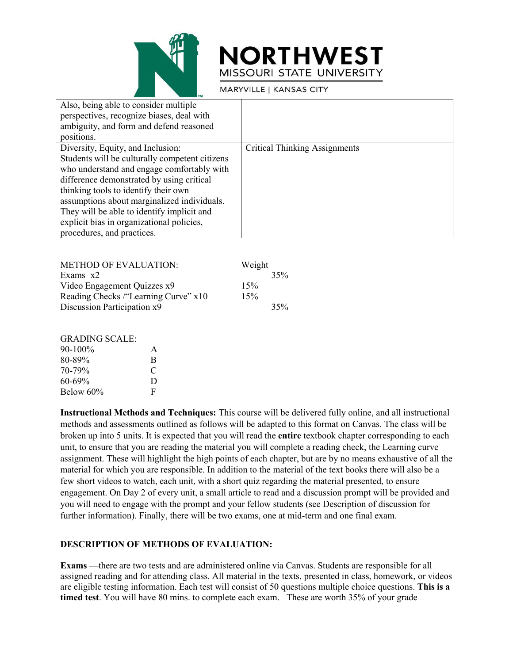

|                                                                                                                                                                                                                                                                                                                                                                                                | <b>NORTHWEST</b><br>MISSOURI STATE UNIVERSITY |
|------------------------------------------------------------------------------------------------------------------------------------------------------------------------------------------------------------------------------------------------------------------------------------------------------------------------------------------------------------------------------------------------|-----------------------------------------------|
|                                                                                                                                                                                                                                                                                                                                                                                                | MARYVILLE   KANSAS CITY                       |
| Also, being able to consider multiple<br>perspectives, recognize biases, deal with<br>ambiguity, and form and defend reasoned<br>positions.                                                                                                                                                                                                                                                    |                                               |
| Diversity, Equity, and Inclusion:<br>Students will be culturally competent citizens<br>who understand and engage comfortably with<br>difference demonstrated by using critical<br>thinking tools to identify their own<br>assumptions about marginalized individuals.<br>They will be able to identify implicit and<br>explicit bias in organizational policies,<br>procedures, and practices. | <b>Critical Thinking Assignments</b>          |
| <b>METHOD OF EVALUATION:</b><br>Exams $x2$<br>Video Engagement Quizzes x9<br>Reading Checks /"Learning Curve" x10                                                                                                                                                                                                                                                                              | Weight<br>35%<br>15%<br>15%                   |
| Discussion Participation x9                                                                                                                                                                                                                                                                                                                                                                    | 35%                                           |
| <b>GRADING SCALE:</b><br>90-100%<br>A                                                                                                                                                                                                                                                                                                                                                          |                                               |

|                                      | assumptions about marginalized murviquals.                                 |        |     |
|--------------------------------------|----------------------------------------------------------------------------|--------|-----|
|                                      | They will be able to identify implicit and                                 |        |     |
|                                      | explicit bias in organizational policies,                                  |        |     |
| procedures, and practices.           |                                                                            |        |     |
|                                      |                                                                            |        |     |
|                                      |                                                                            |        |     |
| <b>METHOD OF EVALUATION:</b>         |                                                                            | Weight |     |
| Exams x2                             |                                                                            |        | 35% |
| Video Engagement Quizzes x9          | 15%                                                                        |        |     |
| Reading Checks /"Learning Curve" x10 |                                                                            | 15%    |     |
| Discussion Participation x9          |                                                                            |        | 35% |
|                                      |                                                                            |        |     |
|                                      |                                                                            |        |     |
| <b>GRADING SCALE:</b>                |                                                                            |        |     |
| 90-100%                              | A                                                                          |        |     |
| 80-89%                               | B                                                                          |        |     |
| 70-79%                               | $\mathcal{C}$                                                              |        |     |
| $60 - 69%$                           | D                                                                          |        |     |
| Below 60%                            | F                                                                          |        |     |
|                                      |                                                                            |        |     |
|                                      | <b>Instructional Methods and Techniques:</b> This course will be a         |        |     |
|                                      | methods and assessments outlined as follows will be adapted to             |        |     |
|                                      | broken un into 5 units. It is expected that you will read the <b>enti-</b> |        |     |

| A |  |
|---|--|
| B |  |
| C |  |
| Ð |  |
| F |  |
|   |  |

**Instructional Methods and Techniques:** This course will be delivered fully online, and all instructional methods and assessments outlined as follows will be adapted to this format on Canvas. The class will be broken up into 5 units. It is expected that you will read the **entire** textbook chapter corresponding to each unit, to ensure that you are reading the material you will complete a reading check, the Learning curve assignment. These will highlight the high points of each chapter, but are by no means exhaustive of all the material for which you are responsible. In addition to the material of the text books there will also be a few short videos to watch, each unit, with a short quiz regarding the material presented, to ensure engagement. On Day 2 of every unit, a small article to read and a discussion prompt will be provided and you will need to engage with the prompt and your fellow students (see Description of discussion for further information). Finally, there will be two exams, one at mid-term and one final exam.

### **DESCRIPTION OF METHODS OF EVALUATION:**

**Exams** —there are two tests and are administered online via Canvas. Students are responsible for all assigned reading and for attending class. All material in the texts, presented in class, homework, or videos are eligible testing information. Each test will consist of 50 questions multiple choice questions. **This is a timed test**. You will have 80 mins. to complete each exam. These are worth 35% of your grade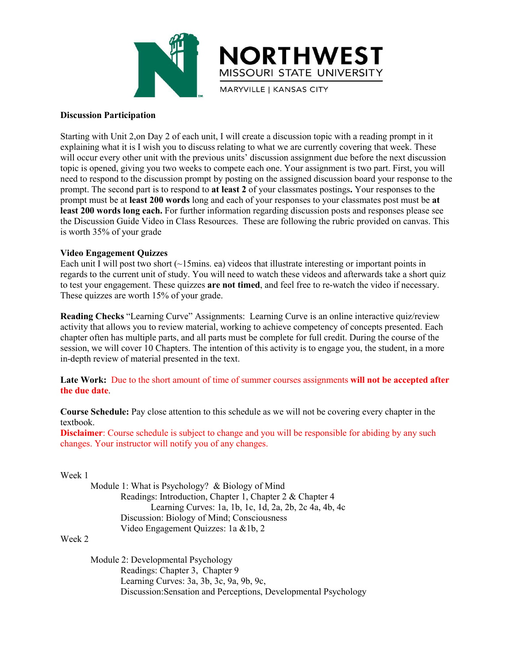

MISSO<br>
Discussion Participation<br>
Starting with Unit 2,on Day 2 of each unit, I will cree<br>
will occur every other unit with the previous units' d ST<br>
MISSOURI STATE UNIVERSITY<br>
MARYVILLE | KANSAS CITY<br>
MARYVILLE | KANSAS CITY<br>
Discussion Participation<br>
Starting with Unit 2,on Day 2 of each unit, I will create a discussion topic with a reading prompt in it<br>
explainin Explained the second of the second to at least 2 of your classified positions. You to discuss relation of the second to the previous units' discussion assignment due before the next discussion to the will occur every other MISSOURI STATE UNIVERSITY<br>
MISSOURI STATE UNIVERSITY<br>
Discussion Participation<br>
Starting with Unit 2,on Day 2 of each unit, I will create a discussion topic with a reading prompt in it<br>
explaining what it is I wish you to **EXPRESSED MISSOURI STATE UNIVERSITY**<br>
MISSOURI STATE UNIVERSITY<br>
Discussion Participation<br>
Starting with Unit 2, on Day 2 of each unit, I will create a discussion topic with a reading prompt in it<br>
explaining what it is I **NEST HWEST**<br>Discussion Participation<br>
Starting with Unit 2,on Day 2 of each unit, I will create a discussion topic with a reading prompt in it<br>
explaining what it is I wish you to discuss relating to what we are currently **PROFACT STATE UNIVERSITY**<br>
MISSOURI STATE UNIVERSITY<br>
MARYVILLE | KANSAS CITY<br>
MARYVILLE | KANSAS CITY<br>
WE explaining with Unit 2,on Day 2 of each unit, I will create a discussion topic with a reading prompt in it<br>
explai **MISSOURI STATE UNIVERSITY**<br>
MARYVILLE | KANSAS CITY<br>
MARYVILLE | KANSAS CITY<br>
MARYVILLE | KANSAS CITY<br>
INCREDITY<br>
Starting with Unit 2,on Day 2 of each unit, I will create a discussion topic with a reading prompt in it<br>
e **least 200 words long and conserved information** regarding the total of energianity of the Discussion Participation<br> **least 200 words and it is l** wish you to discuss relating to what we are currently covering that west. T MARYVILLE | KANSAS CITY<br>
Discussion Participation<br>
Starting with Unit 2,on Day 2 of each unit, I will create a discussion topic with a reading prompt in it<br>
explaining what it is I wish you to discuss relating to what we **Discussion Participation**<br>
Starting with Unit 2,on Day 2 of each unit, I will create a disexplaining what it is I wish you to discuss relating to what w<br>
will occur every other unit with the previous units' discussion<br>
t **Discussion Participation**<br>
Starting with Unit 2,on Day 2 of each unit, I will create a di<br>
explaining what it is I wish you to discuss relating to what v<br>
will occur every other unit with the previous units' discussis<br>
t Starting with Unit 2,on Day 2 of each unit, I will create a discussion topic with a reading prompt in it<br>explaining what it is I wish you to discuss relating to what we are currently covering that week. These<br>will occur ev Starting with Ont 2, 2018/2 or each unit, 1 will recate a casessison topic with a reading prompt in the currently occurring that week. These will occur every other unit vith the previous units' discussion assignment due be explaning what it is I wish you to discuss relating to what we are currently covering that west. Inesecting<br>will occur every other unit with the previous units' discussion assignment due before the next discussion<br>topic is will occur every other unit with the previous units discussion assignment du<br>topic is opened, giving you two weeks to compete each one. Your assignment<br>need to respond to the discussion prompt by posting on the assigned d need to respond to the discussion prompt by posting on the assigned discussion board your responses to the<br>prompt. The second part is to respond to at least 2 of your classmates postings. Your responses to the<br>prompt must

prompt. The second part is to respond to at least 2 of your classmates posings. Your responses to to review that the least 200 words long each. For further information regarding discussion posts and responses please see th prompt must be at least *Z*00 words long and each of your responses to your classemates post must be a least 200 words long each. For further information regarding discussion posts and responses please see<br>the Discussion G east 200 Words long each. For turner miormaton regarding ascussion posts and responses piease see<br>the Discussion Guide Video in Class Resources. These are following the rubric provided on canvas. This<br>is worth 35% of your the Discussion Guide Video in Class Resources. These are following the rubric pro-<br>is worth 35% of your grade<br>Video Engagement Quizzes<br>Each unit I will post two short (~15mins. ea) videos that illustrate interesting or im **Late Work:** Due to the short amount of time of summer courses assignments will not be accreated to the current unit of study. You will need to watch these videos and afterwards take a short quize to test your engagement. **The Due date payer in Quezes**<br> **Each unit I will post two short (~15mins. ea)** videos that illustrate interesting or important points in<br>
regards to the current unit of study. You will need to watch these videos and after Inese quizzes are worth 15% of your grade.<br> **Reading Checks** "Learning Curve" Assignments: Learning Curve is an online interactive quiz/review<br>
carbity that allows you to review material, working to achieve complete for fu **Reading Checks** "Learning Curve" Assignments: Learning Curve is an online interactivity that allows you to review material, working to achieve competency of concept<br>chapter often has multiple parts, and all parts must be

textbook.<br>**Disclaimer**: Course schedule is subject to change and you will be responsible for abiding by any such

chapter orten has multiple parts, and all parts<br>session, we will cover 10 Chapters. The intentin-depth review of material presented in the to<br>Late Work: Due to the short amount of time<br>**the due date**.<br>Course Schedule: Pay we will cover 10 Chapters. The intention of this activity is to engage you, the student,<br>review of material presented in the text.<br>**Cork:** Due to the short amount of time of summer courses assignments **will not be accedate** or material presented in the text.<br>
The to the short amount of time of summer courses assignments will not be accepted after<br>
Le: Pay close attention to this schedule as we will not be covering every chapter in the<br>
Irse s short amount of time of summer courses assignments **will not be accepted after**<br>lose attention to this schedule as we will not be covering every chapter in the<br>dule is subject to change and you will be responsible for abid Let to the short amount of time of summer courses assignments will no<br>
Let Pay close attention to this schedule as we will not be covering even<br>
urse schedule is subject to change and you will be responsible for abidit<br>
u Video Engagement Quizzes: 1a &1b, 2 Course Schedule: Pay close attention to this<br>textbook.<br>
Disclaimer: Course schedule is subject to cha<br>
changes. Your instructor will notify you of an<br>
Week 1<br>
Module 1: What is Psychology? & B<br>
Readings: Introduction, Chap Example 1: What is Psychology? & Biology of Mind<br>
Module 1: What is Psychology? & Biology of Mind<br>
Readings: Introduction, Chapter 1, Chapter 2 & Chapter 4<br>
Learning Curves: 1a, 1b, 1c, 1d, 2a, 2b, 2c 4a, 4b<br>
Discussion: Irse schedule is subject to change and you will be responsible for abid<br>structor will notify you of any changes.<br>1: What is Psychology? & Biology of Mind<br>Readings: Introduction, Chapter 1, Chapter 2 & Chapter 4<br>Learning Cu I: What is Psychology? & Biology of Mind<br>
1: What is Psychology? & Biology of Mind<br>
Readings: Introduction, Chapter 1, Chapter 2 & Chapter 4<br>
Learning Curves: 1a, 1b, 1c, 1d, 2a, 2b, 2c 4a, 4b, 4c<br>
Discussion: Biology of M 1: What is Psychology? & Biology of Mind<br>Readings: Introduction, Chapter 1, Chapter 2 & Chapter 4<br>Learning Curves: 1a, 1b, 1c, 1d, 2a, 2b, 2c 4a, 4b, 4c<br>Discussion: Biology of Mind; Consciousness<br>Video Engagement Quizzes: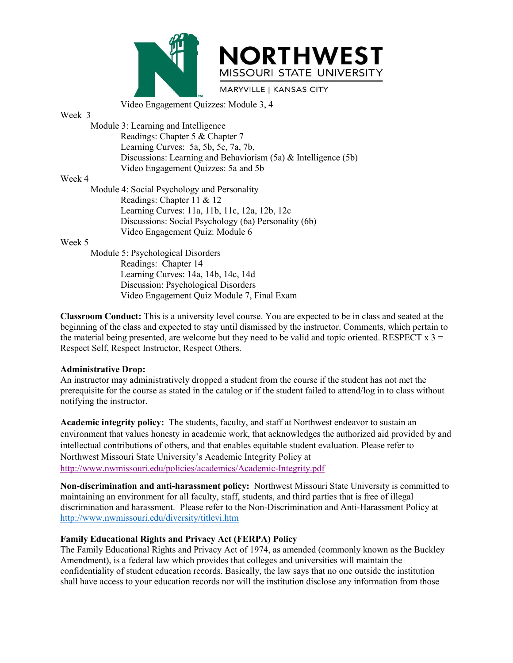



MISSOURI STATE UNIVERSITY<br>
Video Engagement Quizzes: Module 3, 4<br>
3: Learning and Intelligence<br>
Readings: Chapter 5 & Chapter 7<br>
Learning Curves: 5a, 5b, 5c, 7a, 7b, Week 3<br>
Week 3<br>
Module 3: Learning and Intelligence<br>
Readings: Chapter 5 & Chapt<br>
Learning Curves: 5a, 5b, 5c,<br>
Discussions: Learning and Be MISSOURI STATE UNISSOURI STATE UNISSOURI STATE UNISSOURI STATE UNISSOURI STATE UNISSOURI STATE UNISSOURI STATE UNISSOURI STATE UNISSOURI STATE UNISSOURI STATE UNISSOURI STATE UNISSOURI STATE UNISSOURI STATE UNISSOURI STATE MISSOURI STATE UNIVERSITY<br>
MISSOURI STATE UNIVERSITY<br>
Video Engagement Quizzes: Module 3, 4<br>
3: Learning and Intelligence<br>
Readings: Chapter 5 & Chapter 7<br>
Discussions: Learning and Behaviorism (5a) & Intelligence (5b)<br>
Vi MISSOURI STATE UNIVERSITY<br>
Video Engagement Quizzes: Module 3, 4<br>
3: Learning and Intelligence<br>
Readings: Chapter 5 & Chapter 7<br>
Learning Curves: 5a, 5b, 5c, 7a, 7b,<br>
Discussions: Learning and Behaviorism (5a) & Intelligen **NORTHWEST**<br>
MISSOURI STATE UNIVERSITY<br>
Video Engagement Quizzes: Module 3, 4<br>
3: Learning and Intelligence<br>
Readings: Chapter 5 & Chapter 7<br>
Discussions: Learning and Behaviorism (5a) & Intelligence (5b)<br>
Video Engagement MISSOURI STATE UNIVERSITY<br>
MISSOURI STATE UNIVERSITY<br>
Video Engagement Quizzes: Module 3, 4<br>
3: Learning and Intelligence<br>
Readings: Chapter 5 & Chapter 7<br>
Learning Curves: 5a, 5b, 5c, 7a, 7b,<br>
Discussions: Learning and Be Week 3<br>
Wideo Engagement Quizzes:<br>
Week 3<br>
Module 3: Learning and Intelligence<br>
Readings: Chapter 5 & Chap<br>
Learning Curves: 5a, 5b, 5c,<br>
Discussions: Learning and Be<br>
Video Engagement Quizzes:<br>
Week 4<br>
Module 4: Social Ps MISSOURI STATE UNIVER:<br>
MARYVILLE | KANSAS CITY<br>
Video Engagement Quizzes: Module 3, 4<br>
Module 3: Learning and Intelligence<br>
Readings: Chapter 5 & Chapter 7<br>
Learning Curves: 5a, 5b, 5c, 7a, 7b,<br>
Discussions: Learning and MISSOURI STATE UNIVER<br>
MARYVILLE | KANSAS CITY<br>
Video Engagement Quizzes: Module 3, 4<br>
3: Learning and Intelligence<br>
Readings: Chapter 5 & Chapter 7<br>
Learning Curves: 5a, 5b, 5c, 7a, 7b,<br>
Discussions: Learning and Behavior MISSOURI STATE UNIVERSITT<br>
MARYVILLE | KANSAS CITY<br>
Video Engagement Quizzes: Module 3, 4<br>
3: Learning and Intelligence<br>
Readings: Chapter 5 & Chapter 7<br>
Learning Curves: 5a, 5b, 5c, 7a, 7b,<br>
Discussions: Learning and Beha MARYVILLE | KANSAS CITY<br>
Video Engagement Quizzes: Module 3, 4<br>
3: Learning and Intelligence<br>
Readings: Chapter 5 & Chapter 7<br>
Learning Curves: 5a, 5b, 5c, 7a, 7b,<br>
Discussions: Learning and Behaviorism (5a) & Intelligence Video Engagement Quizzes: Module 3, 4<br>
3: Learning and Intelligence<br>
Readings: Chapter 5 & Chapter 7<br>
Learning Curves: 5a, 5b, 5c, 7a, 7b,<br>
Discussions: Learning and Behaviorism (5a) & Intelligence (5b)<br>
Video Engagement Module 3: Learning and Intelligence<br>
Readings: Chapter 5 & Chapter 7<br>
Learning Curves: 5a, 5b, 5c, 7a, 7b,<br>
Discussions: Learning and Behaviorism (5a) & Intelliger<br>
Video Engagement Quizzes: 5a and 5b<br>
Module 4: Social Psy

Video Engagement Quizzes:<br>
Week 3<br>
Module 3: Learning and Intelligence<br>
Readings: Chapter 5 & Chap<br>
Learning Curves: 5a, 5b, 5c,<br>
Discussions: Learning and Be<br>
Video Engagement Quizzes:<br>
Week 4<br>
Module 4: Social Psychology 3: Learning and Intelligence<br>
Readings: Chapter 5 & Chapter 7<br>
Learning Curves: 5a, 5b, 5c, 7a, 7b,<br>
Discussions: Learning and Behaviorism (5a) & Intelligence<br>
Video Engagement Quizzes: 5a and 5b<br>
4: Social Psychology and Readings: Chapter 5 & Chapter 7<br>
Learning Curves: 5a, 5b, 5c, 7a, 7b,<br>
Discussions: Learning and Behaviorism (5a) & Intelligence (5b)<br>
Video Engagement Quizzes: 5a and 5b<br>
4: Social Psychology and Personality<br>
Readings: Ch Learning Curves: 5a, 5b, 5c, 7a, 7b,<br>Discussions: Learning and Behaviorism (5a) & Intelligence (5b)<br>Video Engagement Quizzes: 5a and 5b<br>4: Social Psychology and Personality<br>Readings: Chapter 11 & 12<br>Learning Curves: 11a, 1 Discussions: Learning and Benaviorism (5a)  $\alpha$  intelligence (5b)<br>Video Engagement Quizzes: 5a and 5b<br>4: Social Psychology and Personality<br>Readings: Chapter 11  $\&$  12<br>Learning Curves: 11a, 11b, 11c, 12a, 12b, 12c<br>Discuss

Video Engagement Quiz: Module 6<br>
Module 5: Psychological Disorders<br>
Readings: Chapter 14<br>
Learning Curves: 14a, 14b, 14c, 14d<br>
Discussion: Psychological Disorders<br>
Video Engagement Quiz Module 7, Fin<br> **Classroom Conduct:**

Week 4<br>
Module 4: Social Psychology and Personality<br>
Readings: Chapter 11 & 12<br>
Lemming Curves: 11a, 11b, 11c, 12a, 12b, 12c<br>
Discussions: Social Psychology (6a) Personality (6b)<br>
Video Engagement Quiz: Module 6<br>
Week 5<br>
M Modue 4: Social Psychology and Personality<br>
Readings: Chapter 11 & 12<br>
Learning Curves: 11a, 11b, 11c, 12a, 12b, 12c<br>
Discussions: Social Psychology (6a) Personality (6b)<br>
Video Engagement Quiz: Module 6<br>
Readings: Chapte Examples: Chapter 11 & 12<br>
Learning Curves: 11 & 11b, 11c, 12a, 12b, 12c<br>
Discussions: Social Psychology (6a) Personality (6b)<br>
Video Engagement Quiz: Module 6<br>
Module 5: Psychological Disorders<br>
Readings: Chapter 14<br>
Lea Learning Curves: 11a, 11b, 11c, 12a, 12b, 12c<br>Discussions: Social Psychology (6a) Personality (6b)<br>Video Engagement Quiz: Module 6<br>Week 5<br>Module 5: Psychological Disorders<br>Readings: Chapter 14<br>Learning Curves: 14a, 14b, 14 Module 5: Psychological Disorders<br>
Readings: Chapter 14<br>
Learning Curves: 14a, 14b, 14c, 14d<br>
Discussion: Psychological Disorders<br>
Video Engagement Quiz Module 7, Final Exam<br>
Classroom Conduct: This is a university level c Module 2: Psychological Disorders<br>
Readings: Chapter 14<br>
Learning Curves: 14a, 14b, 14c, 14d<br>
Discussion: Psychological Disorders<br>
Video Engagement Quiz Module 7, Final Exam<br>
Classroom Conduct: This is a university level c Readings: Chapter 14<br>
Learning Curves: 14a, 14b, 14c, 14d<br>
Discussion: Psychological Disorders<br>
Video Engagement Quiz Module 7,<br> **Classroom Conduct:** This is a university level cour:<br>
beginning of the class and expected to

**Academic integrity policy:** This is a university level of the studient of the students. This is a much the beginning of the class and expected to stary until dismissed by the instructor. Comments, which pertain to the mat viaco Engagement Quiz Modute 7, Final Exam<br>
beginning of checkens and expected to stay until dismissed by the instructor. Comments, which pertain to<br>
beginning of the class and expected to stay until dismissed by the inst **Classroom Conduct:** This is a university level course. You are expected to be in class and seated at the beginning of the class and expected to stay until dismissed by the instructor. Comments, which pertain to the mater Example of the class and expected to stay until dismissed by the instructor. Comments, which pertain to the material being presented, are welcome but they need to be valid and topic oriented. RESPECT x 3 = Respect Self, Re http://www.nwmissouri.edu/policies/academics/Academic-Integrity.pdf Respect Setr, Respect Instructor, Respect Others.<br> **Administrative Drop:**<br>
An instructor may administratively dropped a student from the course if the student has not met the<br>
prerequisite for the course as stated in the c Administrative Drop:<br>
An instructor may administratively dropped a student from the course if the student has not met the<br>
prerequisite for the course as stated in the catalog or if the student failed to attend/log in to c **And instruction and harassment policy:**<br> **And instructor may administratively dropped a student from the course if the student has not met the prerequisite for the course as stated in the catalog or if the student failed** notitying the instructor.<br> **Academic integrity policy:** The students, faculty, and staff at Northwest endeavor to sustain an<br>
environment that values honesty in academic work, that acknowledges the authorized aid provide<br> Academic integrity policy: The students, faculty, and staff at Northwest endeavor to sustain an environment that values honesty in academic work, that acknowledges the authorized aid provided by and intellectual contributi Academic Interprivy pointy: The students, ractury, and start at Northwest endeavor to sustain an expansion control and intellectual contributions of others, and that enables equitable student evaluation. Please refer to No

http://www.nwmissouri.edu/diversity/titlevi.htm environment that values honesty in academic work, that acknowledges the authorized atd provided by and intellectual contributions of others, and that enables equitable student evaluation. Please refer to http://www.nxmisso intellectual contributions of others, and that enables equitable student evaluation. Please refer to<br>Northwest Missouri State University's Academic Integrity Policy at<br>Northwest Missouri State University's consmitted to<br>ma